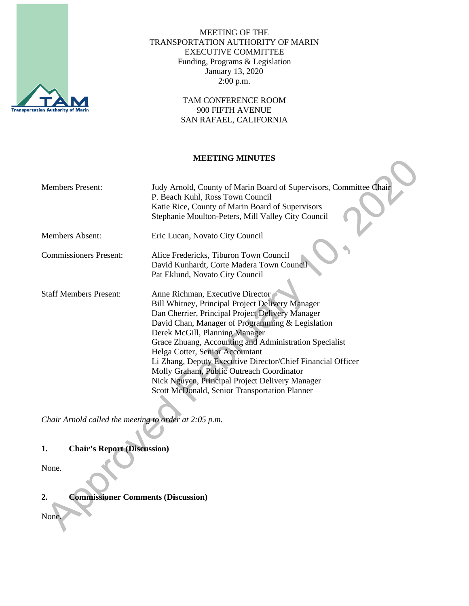

MEETING OF THE TRANSPORTATION AUTHORITY OF MARIN EXECUTIVE COMMITTEE Funding, Programs & Legislation January 13, 2020 2:00 p.m.

> TAM CONFERENCE ROOM 900 FIFTH AVENUE SAN RAFAEL, CALIFORNIA

#### **MEETING MINUTES**

| <b>Members Present:</b>       | Judy Arnold, County of Marin Board of Supervisors, Committee Chair<br>P. Beach Kuhl, Ross Town Council<br>Katie Rice, County of Marin Board of Supervisors<br>Stephanie Moulton-Peters, Mill Valley City Council                                                                                                                                                                                                                                                                                                                                   |
|-------------------------------|----------------------------------------------------------------------------------------------------------------------------------------------------------------------------------------------------------------------------------------------------------------------------------------------------------------------------------------------------------------------------------------------------------------------------------------------------------------------------------------------------------------------------------------------------|
| <b>Members Absent:</b>        | Eric Lucan, Novato City Council                                                                                                                                                                                                                                                                                                                                                                                                                                                                                                                    |
| <b>Commissioners Present:</b> | Alice Fredericks, Tiburon Town Council<br>David Kunhardt, Corte Madera Town Council<br>Pat Eklund, Novato City Council                                                                                                                                                                                                                                                                                                                                                                                                                             |
| <b>Staff Members Present:</b> | Anne Richman, Executive Director<br>Bill Whitney, Principal Project Delivery Manager<br>Dan Cherrier, Principal Project Delivery Manager<br>David Chan, Manager of Programming & Legislation<br>Derek McGill, Planning Manager<br>Grace Zhuang, Accounting and Administration Specialist<br>Helga Cotter, Senior Accountant<br>Li Zhang, Deputy Executive Director/Chief Financial Officer<br>Molly Graham, Public Outreach Coordinator<br>Nick Nguyen, Principal Project Delivery Manager<br><b>Scott McDonald, Senior Transportation Planner</b> |

*Chair Arnold called the meeting to order at 2:05 p.m.*

#### **1. Chair's Report (Discussion)**

None.

**2. Commissioner Comments (Discussion)**

None.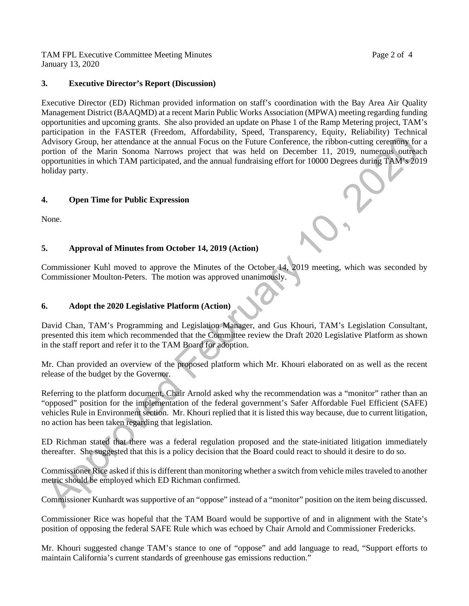TAM FPL Executive Committee Meeting Minutes **Page 2** of 4 January 13, 2020

#### **3. Executive Director's Report (Discussion)**

Executive Director (ED) Richman provided information on staff's coordination with the Bay Area Air Quality Management District (BAAQMD) at a recent Marin Public Works Association (MPWA) meeting regarding funding opportunities and upcoming grants. She also provided an update on Phase 1 of the Ramp Metering project, TAM's participation in the FASTER (Freedom, Affordability, Speed, Transparency, Equity, Reliability) Technical Advisory Group, her attendance at the annual Focus on the Future Conference, the ribbon-cutting ceremony for a portion of the Marin Sonoma Narrows project that was held on December 11, 2019, numerous outreach opportunities in which TAM participated, and the annual fundraising effort for 10000 Degrees during TAM's 2019 holiday party.

# **4. Open Time for Public Expression**

None.

# **5. Approval of Minutes from October 14, 2019 (Action)**

Commissioner Kuhl moved to approve the Minutes of the October 14, 2019 meeting, which was seconded by Commissioner Moulton-Peters. The motion was approved unanimously.

### **6. Adopt the 2020 Legislative Platform (Action)**

David Chan, TAM's Programming and Legislation Manager, and Gus Khouri, TAM's Legislation Consultant, presented this item which recommended that the Committee review the Draft 2020 Legislative Platform as shown in the staff report and refer it to the TAM Board for adoption.

Mr. Chan provided an overview of the proposed platform which Mr. Khouri elaborated on as well as the recent release of the budget by the Governor.

Referring to the platform document, Chair Arnold asked why the recommendation was a "monitor" rather than an "opposed" position for the implementation of the federal government's Safer Affordable Fuel Efficient (SAFE) vehicles Rule in Environment section. Mr. Khouri replied that it is listed this way because, due to current litigation, no action has been taken regarding that legislation.

ED Richman stated that there was a federal regulation proposed and the state-initiated litigation immediately thereafter. She suggested that this is a policy decision that the Board could react to should it desire to do so.

Commissioner Rice asked if this is different than monitoring whether a switch from vehicle miles traveled to another metric should be employed which ED Richman confirmed.

Commissioner Kunhardt was supportive of an "oppose" instead of a "monitor" position on the item being discussed.

Commissioner Rice was hopeful that the TAM Board would be supportive of and in alignment with the State's position of opposing the federal SAFE Rule which was echoed by Chair Arnold and Commissioner Fredericks.

Mr. Khouri suggested change TAM's stance to one of "oppose" and add language to read, "Support efforts to maintain California's current standards of greenhouse gas emissions reduction."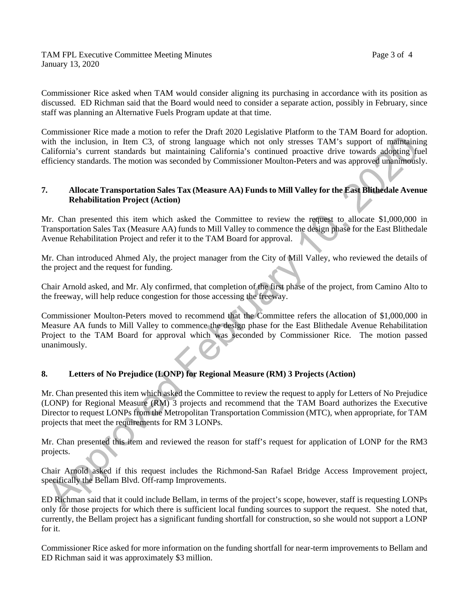TAM FPL Executive Committee Meeting Minutes **Page 3 of 4** January 13, 2020

Commissioner Rice asked when TAM would consider aligning its purchasing in accordance with its position as discussed. ED Richman said that the Board would need to consider a separate action, possibly in February, since staff was planning an Alternative Fuels Program update at that time.

Commissioner Rice made a motion to refer the Draft 2020 Legislative Platform to the TAM Board for adoption. with the inclusion, in Item C3, of strong language which not only stresses TAM's support of maintaining California's current standards but maintaining California's continued proactive drive towards adopting fuel efficiency standards. The motion was seconded by Commissioner Moulton-Peters and was approved unanimously.

#### **7. Allocate Transportation Sales Tax (Measure AA) Funds to Mill Valley for the East Blithedale Avenue Rehabilitation Project (Action)**

Mr. Chan presented this item which asked the Committee to review the request to allocate \$1,000,000 in Transportation Sales Tax (Measure AA) funds to Mill Valley to commence the design phase for the East Blithedale Avenue Rehabilitation Project and refer it to the TAM Board for approval.

Mr. Chan introduced Ahmed Aly, the project manager from the City of Mill Valley, who reviewed the details of the project and the request for funding.

Chair Arnold asked, and Mr. Aly confirmed, that completion of the first phase of the project, from Camino Alto to the freeway, will help reduce congestion for those accessing the freeway.

Commissioner Moulton-Peters moved to recommend that the Committee refers the allocation of \$1,000,000 in Measure AA funds to Mill Valley to commence the design phase for the East Blithedale Avenue Rehabilitation Project to the TAM Board for approval which was seconded by Commissioner Rice. The motion passed unanimously.

# **8. Letters of No Prejudice (LONP) for Regional Measure (RM) 3 Projects (Action)**

Mr. Chan presented this item which asked the Committee to review the request to apply for Letters of No Prejudice (LONP) for Regional Measure (RM) 3 projects and recommend that the TAM Board authorizes the Executive Director to request LONPs from the Metropolitan Transportation Commission (MTC), when appropriate, for TAM projects that meet the requirements for RM 3 LONPs.

Mr. Chan presented this item and reviewed the reason for staff's request for application of LONP for the RM3 projects.

Chair Arnold asked if this request includes the Richmond-San Rafael Bridge Access Improvement project, specifically the Bellam Blvd. Off-ramp Improvements.

ED Richman said that it could include Bellam, in terms of the project's scope, however, staff is requesting LONPs only for those projects for which there is sufficient local funding sources to support the request. She noted that, currently, the Bellam project has a significant funding shortfall for construction, so she would not support a LONP for it.

Commissioner Rice asked for more information on the funding shortfall for near-term improvements to Bellam and ED Richman said it was approximately \$3 million.